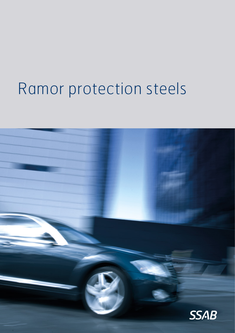# Ramor protection steels

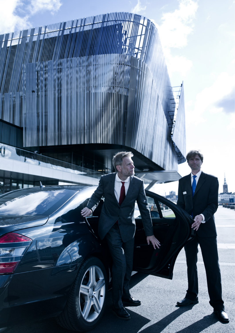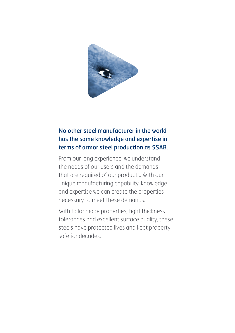![](_page_2_Picture_0.jpeg)

### No other steel manufacturer in the world has the same knowledge and expertise in terms of armor steel production as SSAB.

From our long experience, we understand the needs of our users and the demands that are required of our products. With our unique manufacturing capability, knowledge and expertise we can create the properties necessary to meet these demands.

With tailor made properties, tight thickness tolerances and excellent surface quality, these steels have protected lives and kept property safe for decades.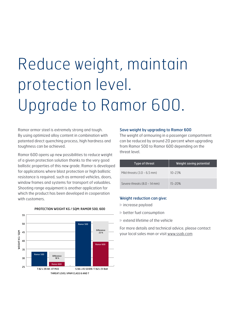# Reduce weight, maintain protection level. Upgrade to Ramor 600.

Ramor armor steel is extremely strong and tough. By using optimized alloy content in combination with patented direct quenching process, high hardness and toughness can be achieved.

Ramor 600 opens up new possibilities to reduce weight of a given protection solution thanks to the very good ballistic properties of this new grade. Ramor is developed for applications where blast protection or high ballistic resistance is required, such as armored vehicles, doors, window frames and systems for transport of valuables. Shooting range equipment is another application for which the product has been developed in cooperation with customers. Weight reduction can give:

![](_page_3_Figure_3.jpeg)

#### PROTECTION WEIGHT KG / SOM: RAMOR 500, 600

#### Save weight by upgrading to Ramor 600

The weight of armouring in a passenger compartment can be reduced by around 20 percent when upgrading from Ramor 500 to Ramor 600 depending on the threat level.

| Type of threat                | Weight saving potential |
|-------------------------------|-------------------------|
| Mild threats $(3.0 - 6.5$ mm) | $10 - 23%$              |
| Severe threats (8.0 - 14 mm)  | $15 - 20%$              |

- increase payload
- **better fuel consumption**
- $\triangleright$  extend lifetime of the vehicle

For more details and technical advice, please contact your local sales man or visit www.ssab.com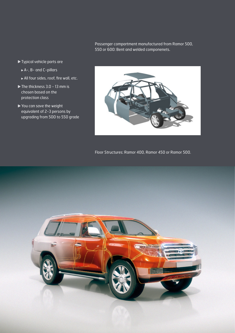Passenger compartment manufactured from Ramor 500, 550 or 600: Bent and welded componenets.

- Typical vehicle parts are
	- A-, B- and C-pillars
	- All four sides, roof, fire wall, etc.
- ▶ The thickness 3.0 13 mm is chosen based on the protection class
- ▶ You can save the weight equivalent of 2-3 persons by upgrading from 500 to 550 grade

![](_page_4_Picture_6.jpeg)

Floor Structures: Ramor 400, Ramor 450 or Ramor 500.

![](_page_4_Picture_8.jpeg)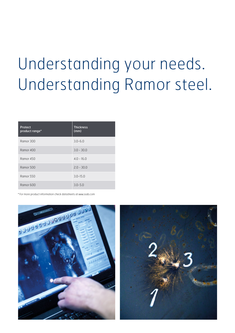# Understanding your needs. Understanding Ramor steel.

| <b>Protect</b><br>product range* | <b>Thickness</b><br>(mm) |
|----------------------------------|--------------------------|
| Ramor 300                        | $3.0 - 6.0$              |
| Ramor 400                        | $3.0 - 30.0$             |
| Ramor 450                        | $4.0 - 16.0$             |
| Ramor 500                        | $2.0 - 30.0$             |
| Ramor 550                        | $3.0 - 15.0$             |
| Ramor 600                        | $3.0 - 5.0$              |

\* For more product information check datasheets at www.ssab.com

![](_page_5_Picture_3.jpeg)

![](_page_5_Picture_4.jpeg)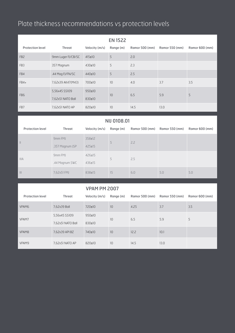## Plate thickness recommendations vs protection levels

|                         |                    |                | <b>EN 1522</b> |                |                |                |
|-------------------------|--------------------|----------------|----------------|----------------|----------------|----------------|
| <b>Protection level</b> | <b>Threat</b>      | Velocity (m/s) | Range (m)      | Ramor 500 (mm) | Ramor 550 (mm) | Ramor 600 (mm) |
| FB <sub>2</sub>         | 9mm Luger FJ/CB/SC | $415 \pm 10$   | 5              | 2.0            |                |                |
| FB <sub>3</sub>         | 357 Magnum         | $430 \pm 10$   | 5              | 2.3            |                |                |
| FB4                     | .44 Mag FJ/FN/SC   | $440 \pm 10$   | 5              | 2.5            |                |                |
| $FB4+$                  | 7,62x39 AK47(M43)  | 700±10         | 10             | 4.0            | 3.7            | 3.5            |
| FB <sub>6</sub>         | 5,56x45 SS109      | 950±10         | 10             | 6.5            | 5.9            | 5              |
|                         | 7,62x51 NATO Ball  | 830±10         |                |                |                |                |
| FB7                     | 7,62x51 NATO AP    | $820 \pm 10$   | 10             | 14.5           | 13.0           |                |

### NIJ 0108.01

| <b>Protection level</b> | Threat                     | Velocity (m/s)               | Range (m) | Ramor 500 (mm) | Ramor 550 (mm) | Ramor 600 (mm) |
|-------------------------|----------------------------|------------------------------|-----------|----------------|----------------|----------------|
| $\parallel$             | 9mm FMJ<br>.357 Magnum JSP | 358±12<br>$425 \pm 15$       |           | 2.2            |                |                |
| <b>IIIA</b>             | 9mm FMJ<br>.44 Magnum SWC  | $426 \pm 15$<br>$436 \pm 15$ | 5         | 2.5            |                |                |
| $\mathbb{H}$            | 7,62x51 FMJ                | 838±15                       | 15        | 6.0            | 5.0            | 5.0            |

### VPAM PM 2007

| <b>Protection level</b> | <b>Threat</b>                      | Velocity (m/s)   | Range (m) | Ramor 500 (mm) | Ramor 550 (mm) | Ramor 600 (mm) |
|-------------------------|------------------------------------|------------------|-----------|----------------|----------------|----------------|
| VPAM6                   | 7.62x39 Ball                       | 720±10           | 10        | 4.25           | 3.7            | 3.5            |
| VPAM7                   | 5,56x45 SS109<br>7,62x51 NATO Ball | 950±10<br>830±10 | 10        | 6.5            | 5.9            | 5              |
| VPAM8                   | 7.62x39 API BZ                     | 740±10           | 10        | 12.2           | 10.1           |                |
| VPAM9                   | 7,62x51 NATO AP                    | $820 \pm 10$     | 10        | 14.5           | 13.0           |                |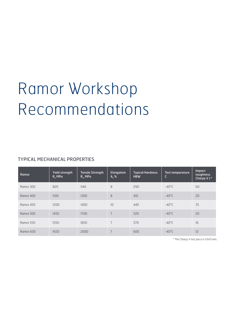# Ramor Workshop Recommendations

### TYPICAL MECHANICAL PROPERTIES

| Ramor     | Yield strength<br>R <sub>c</sub> MPa | <b>Tensile Strength</b><br>$R_m$ MP $\alpha$ | Elongation<br>$A5$ % | <b>Typical Hardness</b><br><b>HBW</b> | Test temperature | Impact<br>toughness<br>Charpy V J * |
|-----------|--------------------------------------|----------------------------------------------|----------------------|---------------------------------------|------------------|-------------------------------------|
| Ramor 300 | 820                                  | 940                                          | 8                    | 290                                   | $-40^{\circ}$ C  | 60                                  |
| Ramor 400 | 1100                                 | 1300                                         | 8                    | 410                                   | $-40^{\circ}$ C  | 20                                  |
| Ramor 450 | 1200                                 | 1400                                         | 10                   | 440                                   | $-40^{\circ}$ C  | 35                                  |
| Ramor 500 | 1450                                 | 1700                                         | $\overline{7}$       | 520                                   | $-40^{\circ}$ C  | 20                                  |
| Ramor 550 | 1550                                 | 1850                                         | $\overline{7}$       | 570                                   | $-40^{\circ}$ C  | 16                                  |
| Ramor 600 | 1650                                 | 2000                                         | $\overline{7}$       | 600                                   | $-40^{\circ}$ C  | 12                                  |

\* The Charpy V test piece is 10x10 mm.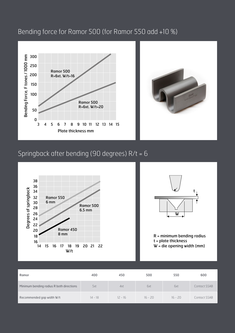### Bending force for Ramor 500 (for Ramor 550 add +10 %)

![](_page_8_Figure_1.jpeg)

![](_page_8_Picture_2.jpeg)

### Springback after bending (90 degrees) R/t = 6

![](_page_8_Figure_4.jpeg)

![](_page_8_Figure_5.jpeg)

R = minimum bending radius t = plate thickness W = die opening width (mm)

| Ramor                                    | 400       | 450       | 500       | 550       | 600          |
|------------------------------------------|-----------|-----------|-----------|-----------|--------------|
| Minimum bending radius R both directions | 5xt       | 4xt       | 6xt       | 6xt       | Contact SSAB |
| Recommended gap width W/t                | $14 - 18$ | $12 - 16$ | $16 - 20$ | $16 - 20$ | Contact SSAB |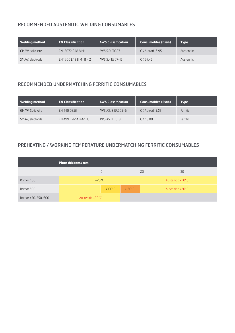### RECOMMENDED AUSTENITIC WELDING CONSUMABLES

| Welding method   | <b>EN Classification</b> | <b>AWS Classification</b> | <b>Consumables (Esab)</b> | <b>Type</b>       |
|------------------|--------------------------|---------------------------|---------------------------|-------------------|
| GMAW, solid wire | EN 12072 G 18 8 Mn       | AWS 5.9 FR307             | OK Autrod 16.95           | Austenitic        |
| SMAW, electrode  | EN 1600 F 18 8 Mn B 4 2  | AWS 5.4 F307-15           | OK 67.45                  | <b>Austenitic</b> |

### RECOMMENDED UNDERMATCHING FERRITIC CONSUMABLES

| Welding method          | <b>EN Classification</b> | <b>AWS Classification</b> | <b>Consumables (Esab)</b> | <b>Type</b>     |
|-------------------------|--------------------------|---------------------------|---------------------------|-----------------|
| <b>GMAW, Solid wire</b> | <b>EN 440 G3Si1</b>      | AWS A5.18 ER70S-6         | OK Autrod 12.51           | Ferritic        |
| SMAW, electrode         | EN 499 E 42 4 B 42 H5    | AWS A5.1 E7018            | OK 48.00                  | <b>Ferritic</b> |

### PREHEATING / WORKING TEMPERATURE UNDERMATCHING FERRITIC CONSUMABLES

|                     | <b>Plate thickness mm</b> |                  |                  |    |                  |
|---------------------|---------------------------|------------------|------------------|----|------------------|
|                     |                           | 10               |                  | 20 | 30               |
| Ramor 400           | $+20^{\circ}$ C           |                  |                  |    | Austenitic +20°C |
| Ramor 500           |                           | $+100^{\circ}$ C | $+150^{\circ}$ C |    | Austenitic +20°C |
| Ramor 450, 550, 600 | Austenitic +20°C          |                  |                  |    |                  |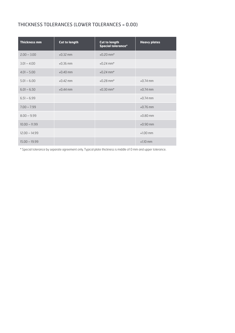### THICKNESS TOLERANCES (LOWER TOLERANCES = 0.00)

| <b>Thickness mm</b> | <b>Cut to length</b> | <b>Cut to length</b><br><b>Special tolerance*</b> | <b>Heavy plates</b> |
|---------------------|----------------------|---------------------------------------------------|---------------------|
| $2.00 - 3.00$       | $+0.32$ mm           | $+0.20$ mm*                                       |                     |
| $3.01 - 4.00$       | $+0.36$ mm           | $+0.24$ mm*                                       |                     |
| $4.01 - 5.00$       | $+0.40$ mm           | $+0.24$ mm*                                       |                     |
| $5.01 - 6.00$       | $+0.42$ mm           | $+0.28$ mm*                                       | $+0.74$ mm          |
| $6.01 - 6.50$       | $+0.44$ mm           | $+0.30$ mm*                                       | $+0.74$ mm          |
| $6.51 - 6.99$       |                      |                                                   | $+0.74$ mm          |
| $7.00 - 7.99$       |                      |                                                   | $+0.76$ mm          |
| $8.00 - 9.99$       |                      |                                                   | $+0.80$ mm          |
| $10.00 - 11.99$     |                      |                                                   | $+0.90$ mm          |
| $12.00 - 14.99$     |                      |                                                   | $+1.00$ mm          |
| $15.00 - 19.99$     |                      |                                                   | $+1.10$ mm          |

\* Special tolerance by separate agreement only. Typical plate thickness is middle of 0 mm and upper tolerance.